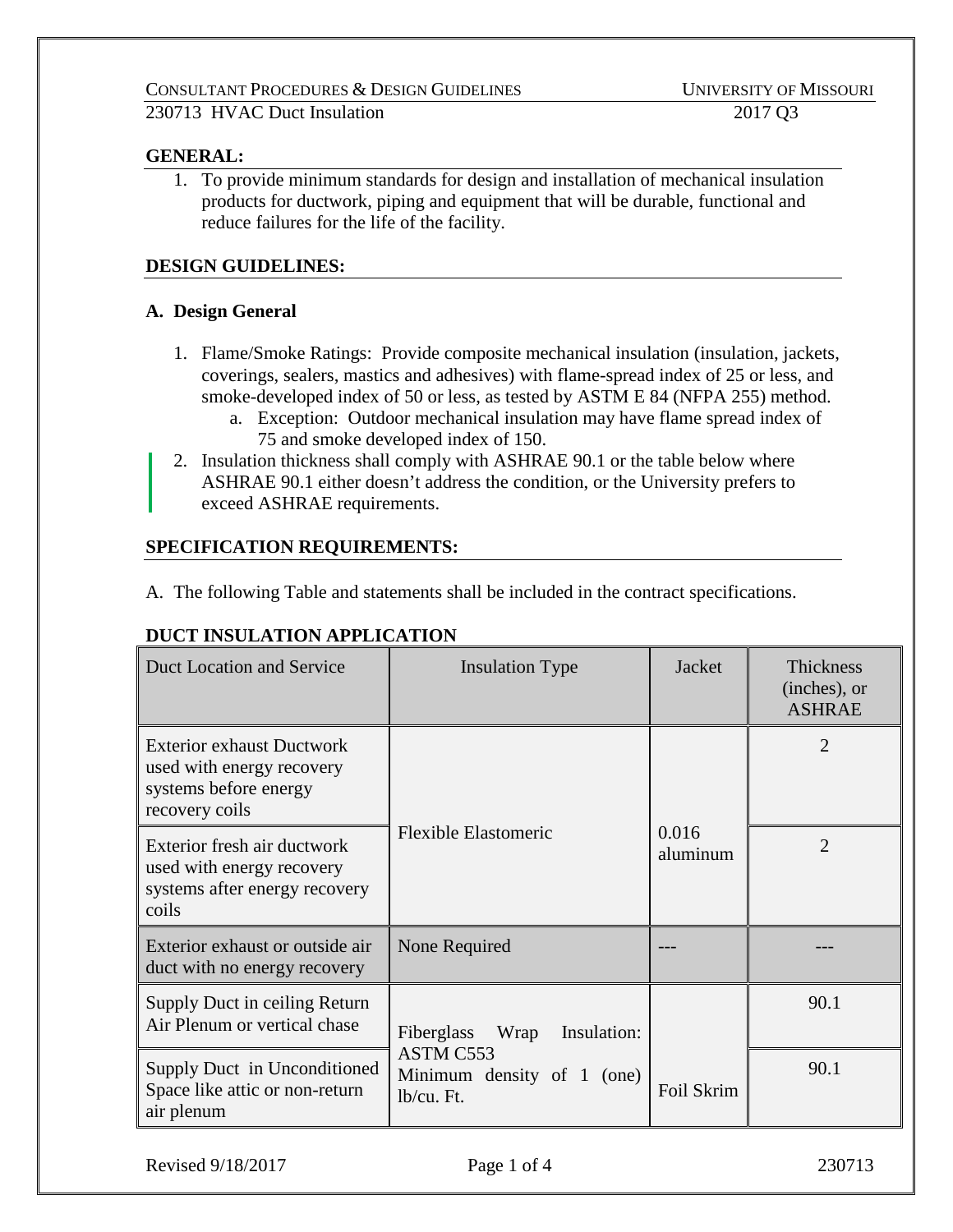# **GENERAL:**

1. To provide minimum standards for design and installation of mechanical insulation products for ductwork, piping and equipment that will be durable, functional and reduce failures for the life of the facility.

# **DESIGN GUIDELINES:**

# **A. Design General**

- 1. Flame/Smoke Ratings: Provide composite mechanical insulation (insulation, jackets, coverings, sealers, mastics and adhesives) with flame-spread index of 25 or less, and smoke-developed index of 50 or less, as tested by ASTM E 84 (NFPA 255) method.
	- a. Exception: Outdoor mechanical insulation may have flame spread index of 75 and smoke developed index of 150.
- 2. Insulation thickness shall comply with ASHRAE 90.1 or the table below where ASHRAE 90.1 either doesn't address the condition, or the University prefers to exceed ASHRAE requirements.

# **SPECIFICATION REQUIREMENTS:**

A. The following Table and statements shall be included in the contract specifications.

# **DUCT INSULATION APPLICATION**

| Duct Location and Service                                                                                | <b>Insulation Type</b>                                | Jacket            | <b>Thickness</b><br>(inches), or<br><b>ASHRAE</b> |
|----------------------------------------------------------------------------------------------------------|-------------------------------------------------------|-------------------|---------------------------------------------------|
| <b>Exterior exhaust Ductwork</b><br>used with energy recovery<br>systems before energy<br>recovery coils |                                                       |                   | $\mathfrak{D}$                                    |
| Exterior fresh air ductwork<br>used with energy recovery<br>systems after energy recovery<br>coils       | <b>Flexible Elastomeric</b>                           | 0.016<br>aluminum | $\mathcal{D}_{\mathcal{L}}$                       |
| Exterior exhaust or outside air<br>duct with no energy recovery                                          | None Required                                         |                   |                                                   |
| Supply Duct in ceiling Return<br>Air Plenum or vertical chase                                            | Fiberglass<br>Wrap<br>Insulation:                     |                   | 90.1                                              |
| Supply Duct in Unconditioned<br>Space like attic or non-return<br>air plenum                             | ASTM C553<br>Minimum density of 1 (one)<br>lb/cu. Ft. | Foil Skrim        | 90.1                                              |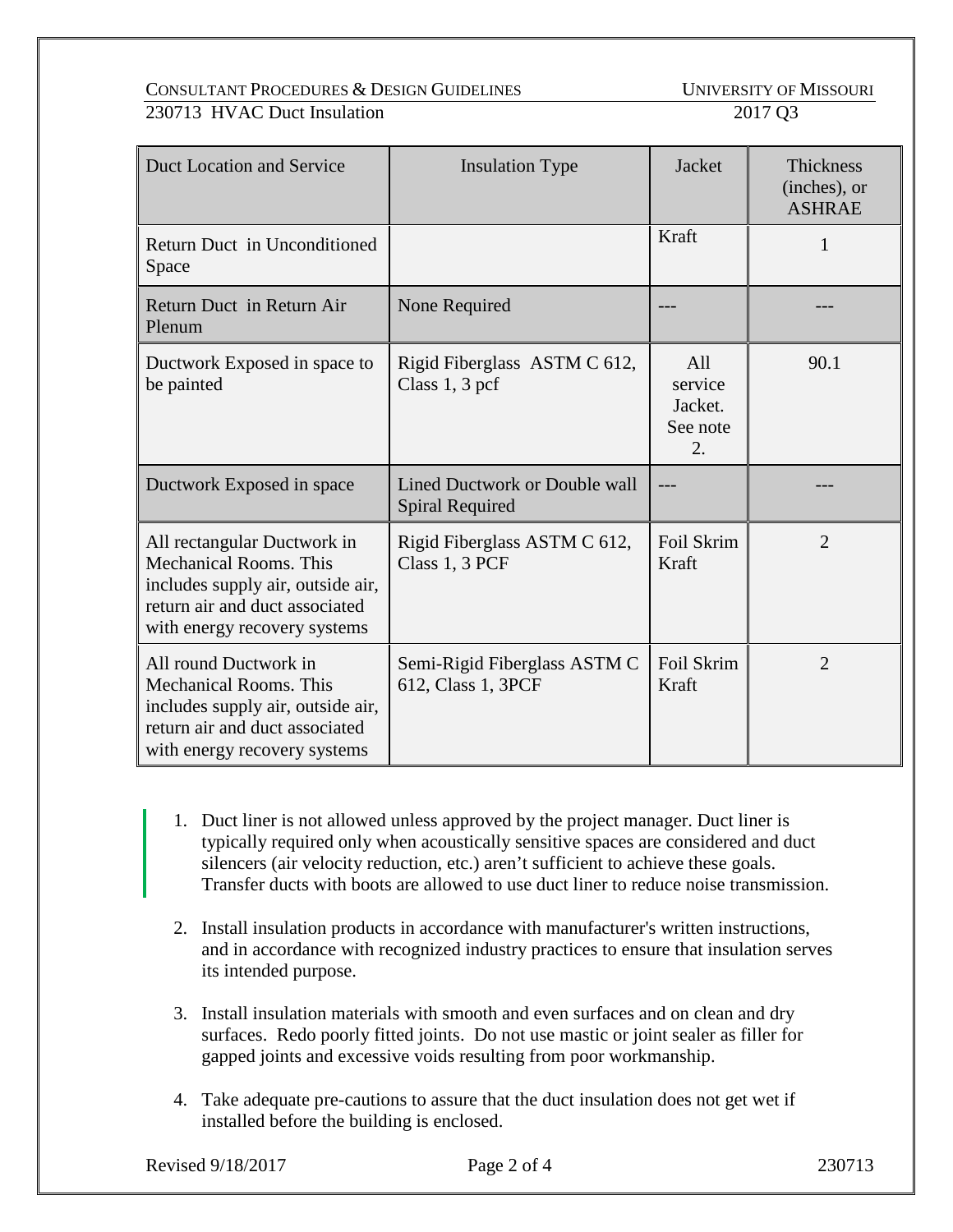CONSULTANT PROCEDURES & DESIGN GUIDELINES UNIVERSITY OF MISSOURI 230713 HVAC Duct Insulation 2017 Q3

| Duct Location and Service                                                                                                                                           | <b>Insulation Type</b>                                  | Jacket                                                    | Thickness<br>(inches), or<br><b>ASHRAE</b> |
|---------------------------------------------------------------------------------------------------------------------------------------------------------------------|---------------------------------------------------------|-----------------------------------------------------------|--------------------------------------------|
| Return Duct in Unconditioned<br>Space                                                                                                                               |                                                         | Kraft                                                     |                                            |
| Return Duct in Return Air<br>Plenum                                                                                                                                 | None Required                                           |                                                           |                                            |
| Ductwork Exposed in space to<br>be painted                                                                                                                          | Rigid Fiberglass ASTM C 612,<br>Class $1, 3$ pcf        | All<br>service<br>Jacket.<br>See note<br>$\overline{2}$ . | 90.1                                       |
| Ductwork Exposed in space                                                                                                                                           | Lined Ductwork or Double wall<br><b>Spiral Required</b> | ---                                                       |                                            |
| All rectangular Ductwork in<br><b>Mechanical Rooms. This</b><br>includes supply air, outside air,<br>return air and duct associated<br>with energy recovery systems | Rigid Fiberglass ASTM C 612,<br>Class 1, 3 PCF          | Foil Skrim<br>Kraft                                       | $\overline{2}$                             |
| All round Ductwork in<br><b>Mechanical Rooms. This</b><br>includes supply air, outside air,<br>return air and duct associated<br>with energy recovery systems       | Semi-Rigid Fiberglass ASTM C<br>612, Class 1, 3PCF      | Foil Skrim<br>Kraft                                       | $\overline{2}$                             |

- 1. Duct liner is not allowed unless approved by the project manager. Duct liner is typically required only when acoustically sensitive spaces are considered and duct silencers (air velocity reduction, etc.) aren't sufficient to achieve these goals. Transfer ducts with boots are allowed to use duct liner to reduce noise transmission.
- 2. Install insulation products in accordance with manufacturer's written instructions, and in accordance with recognized industry practices to ensure that insulation serves its intended purpose.
- 3. Install insulation materials with smooth and even surfaces and on clean and dry surfaces. Redo poorly fitted joints. Do not use mastic or joint sealer as filler for gapped joints and excessive voids resulting from poor workmanship.
- 4. Take adequate pre-cautions to assure that the duct insulation does not get wet if installed before the building is enclosed.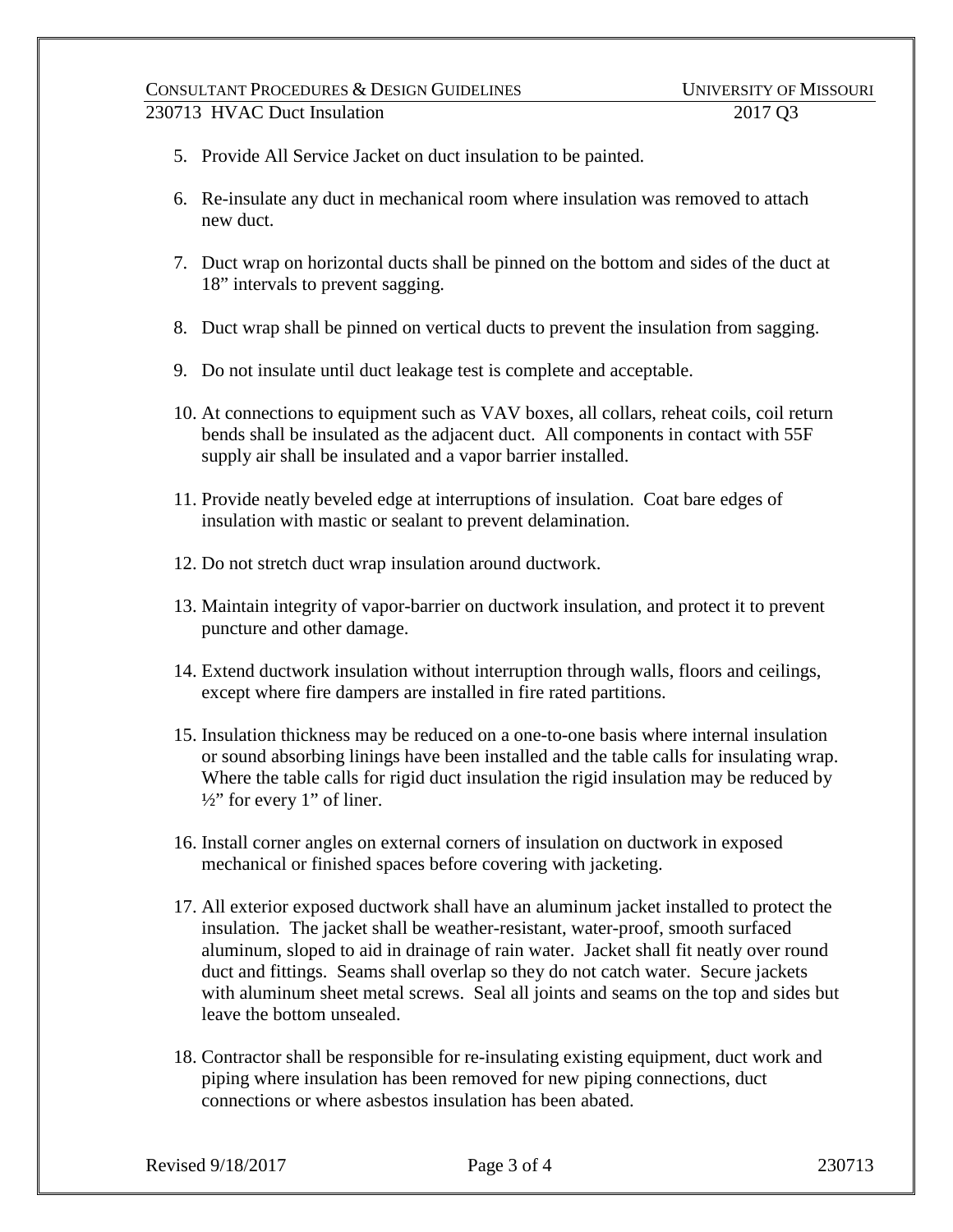# CONSULTANT PROCEDURES & DESIGN GUIDELINES UNIVERSITY OF MISSOURI 230713 HVAC Duct Insulation 2017 Q3

- 5. Provide All Service Jacket on duct insulation to be painted.
- 6. Re-insulate any duct in mechanical room where insulation was removed to attach new duct.
- 7. Duct wrap on horizontal ducts shall be pinned on the bottom and sides of the duct at 18" intervals to prevent sagging.
- 8. Duct wrap shall be pinned on vertical ducts to prevent the insulation from sagging.
- 9. Do not insulate until duct leakage test is complete and acceptable.
- 10. At connections to equipment such as VAV boxes, all collars, reheat coils, coil return bends shall be insulated as the adjacent duct. All components in contact with 55F supply air shall be insulated and a vapor barrier installed.
- 11. Provide neatly beveled edge at interruptions of insulation. Coat bare edges of insulation with mastic or sealant to prevent delamination.
- 12. Do not stretch duct wrap insulation around ductwork.
- 13. Maintain integrity of vapor-barrier on ductwork insulation, and protect it to prevent puncture and other damage.
- 14. Extend ductwork insulation without interruption through walls, floors and ceilings, except where fire dampers are installed in fire rated partitions.
- 15. Insulation thickness may be reduced on a one-to-one basis where internal insulation or sound absorbing linings have been installed and the table calls for insulating wrap. Where the table calls for rigid duct insulation the rigid insulation may be reduced by  $\frac{1}{2}$ " for every 1" of liner.
- 16. Install corner angles on external corners of insulation on ductwork in exposed mechanical or finished spaces before covering with jacketing.
- 17. All exterior exposed ductwork shall have an aluminum jacket installed to protect the insulation. The jacket shall be weather-resistant, water-proof, smooth surfaced aluminum, sloped to aid in drainage of rain water. Jacket shall fit neatly over round duct and fittings. Seams shall overlap so they do not catch water. Secure jackets with aluminum sheet metal screws. Seal all joints and seams on the top and sides but leave the bottom unsealed.
- 18. Contractor shall be responsible for re-insulating existing equipment, duct work and piping where insulation has been removed for new piping connections, duct connections or where asbestos insulation has been abated.